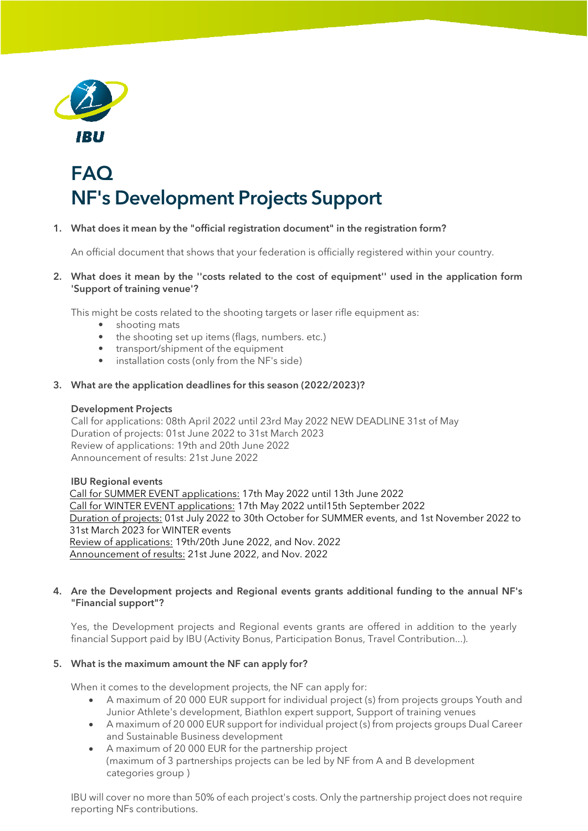

# FAQ NF's Development Projects Support

# 1. What does it mean by the "official registration document" in the registration form?

An official document that shows that your federation is officially registered within your country.

2. What does it mean by the ''costs related to the cost of equipment'' used in the application form 'Support of training venue'?

This might be costs related to the shooting targets or laser rifle equipment as:

- shooting mats
- the shooting set up items (flags, numbers. etc.)
- transport/shipment of the equipment
- installation costs (only from the NF's side)

## 3. What are the application deadlines for this season (2022/2023)?

## Development Projects

Call for applications: 08th April 2022 until 23rd May 2022 NEW DEADLINE 31st of May Duration of projects: 01st June 2022 to 31st March 2023 Review of applications: 19th and 20th June 2022 Announcement of results: 21st June 2022

## IBU Regional events

Call for SUMMER EVENT applications: 17th May 2022 until 13th June 2022 Call for WINTER EVENT applications: 17th May 2022 until15th September 2022 Duration of projects: 01st July 2022 to 30th October for SUMMER events, and 1st November 2022 to 31st March 2023 for WINTER events Review of applications: 19th/20th June 2022, and Nov. 2022 Announcement of results: 21st June 2022, and Nov. 2022

## 4. Are the Development projects and Regional events grants additional funding to the annual NF's "Financial support"?

Yes, the Development projects and Regional events grants are offered in addition to the yearly financial Support paid by IBU (Activity Bonus, Participation Bonus, Travel Contribution...).

## 5. What is the maximum amount the NF can apply for?

When it comes to the development projects, the NF can apply for:

- A maximum of 20 000 EUR support for individual project (s) from projects groups Youth and Junior Athlete's development, Biathlon expert support, Support of training venues
- A maximum of 20 000 EUR support for individual project (s) from projects groups Dual Career and Sustainable Business development
- A maximum of 20 000 EUR for the partnership project (maximum of 3 partnerships projects can be led by NF from A and B development categories group )

IBU will cover no more than 50% of each project's costs. Only the partnership project does not require reporting NFs contributions.